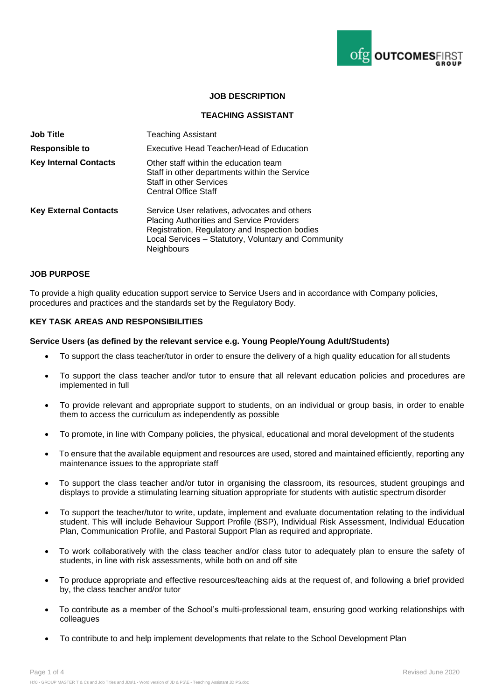

## **JOB DESCRIPTION**

### **TEACHING ASSISTANT**

| <b>Job Title</b>             | <b>Teaching Assistant</b>                                                                                                                                                                                                      |
|------------------------------|--------------------------------------------------------------------------------------------------------------------------------------------------------------------------------------------------------------------------------|
| Responsible to               | Executive Head Teacher/Head of Education                                                                                                                                                                                       |
| <b>Key Internal Contacts</b> | Other staff within the education team<br>Staff in other departments within the Service<br><b>Staff in other Services</b><br><b>Central Office Staff</b>                                                                        |
| <b>Key External Contacts</b> | Service User relatives, advocates and others<br><b>Placing Authorities and Service Providers</b><br>Registration, Regulatory and Inspection bodies<br>Local Services - Statutory, Voluntary and Community<br><b>Neighbours</b> |

#### **JOB PURPOSE**

To provide a high quality education support service to Service Users and in accordance with Company policies, procedures and practices and the standards set by the Regulatory Body.

#### **KEY TASK AREAS AND RESPONSIBILITIES**

#### **Service Users (as defined by the relevant service e.g. Young People/Young Adult/Students)**

- To support the class teacher/tutor in order to ensure the delivery of a high quality education for all students
- To support the class teacher and/or tutor to ensure that all relevant education policies and procedures are implemented in full
- To provide relevant and appropriate support to students, on an individual or group basis, in order to enable them to access the curriculum as independently as possible
- To promote, in line with Company policies, the physical, educational and moral development of the students
- To ensure that the available equipment and resources are used, stored and maintained efficiently, reporting any maintenance issues to the appropriate staff
- To support the class teacher and/or tutor in organising the classroom, its resources, student groupings and displays to provide a stimulating learning situation appropriate for students with autistic spectrum disorder
- To support the teacher/tutor to write, update, implement and evaluate documentation relating to the individual student. This will include Behaviour Support Profile (BSP), Individual Risk Assessment, Individual Education Plan, Communication Profile, and Pastoral Support Plan as required and appropriate.
- To work collaboratively with the class teacher and/or class tutor to adequately plan to ensure the safety of students, in line with risk assessments, while both on and off site
- To produce appropriate and effective resources/teaching aids at the request of, and following a brief provided by, the class teacher and/or tutor
- To contribute as a member of the School's multi-professional team, ensuring good working relationships with colleagues
- To contribute to and help implement developments that relate to the School Development Plan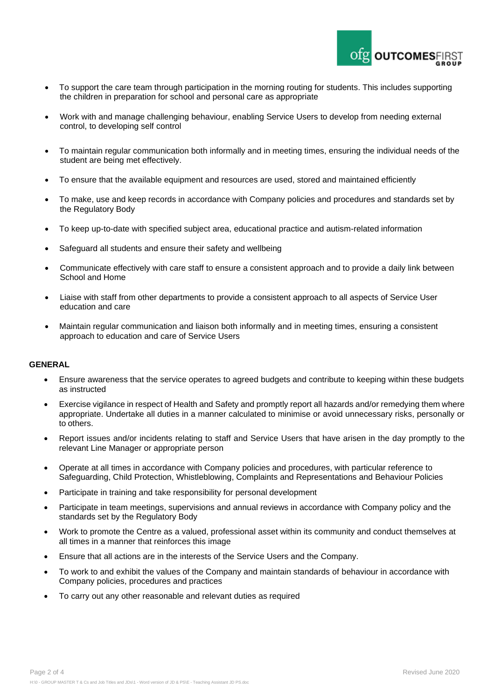

- To support the care team through participation in the morning routing for students. This includes supporting the children in preparation for school and personal care as appropriate
- Work with and manage challenging behaviour, enabling Service Users to develop from needing external control, to developing self control
- To maintain regular communication both informally and in meeting times, ensuring the individual needs of the student are being met effectively.
- To ensure that the available equipment and resources are used, stored and maintained efficiently
- To make, use and keep records in accordance with Company policies and procedures and standards set by the Regulatory Body
- To keep up-to-date with specified subject area, educational practice and autism-related information
- Safeguard all students and ensure their safety and wellbeing
- Communicate effectively with care staff to ensure a consistent approach and to provide a daily link between School and Home
- Liaise with staff from other departments to provide a consistent approach to all aspects of Service User education and care
- Maintain regular communication and liaison both informally and in meeting times, ensuring a consistent approach to education and care of Service Users

#### **GENERAL**

- Ensure awareness that the service operates to agreed budgets and contribute to keeping within these budgets as instructed
- Exercise vigilance in respect of Health and Safety and promptly report all hazards and/or remedying them where appropriate. Undertake all duties in a manner calculated to minimise or avoid unnecessary risks, personally or to others.
- Report issues and/or incidents relating to staff and Service Users that have arisen in the day promptly to the relevant Line Manager or appropriate person
- Operate at all times in accordance with Company policies and procedures, with particular reference to Safeguarding, Child Protection, Whistleblowing, Complaints and Representations and Behaviour Policies
- Participate in training and take responsibility for personal development
- Participate in team meetings, supervisions and annual reviews in accordance with Company policy and the standards set by the Regulatory Body
- Work to promote the Centre as a valued, professional asset within its community and conduct themselves at all times in a manner that reinforces this image
- Ensure that all actions are in the interests of the Service Users and the Company.
- To work to and exhibit the values of the Company and maintain standards of behaviour in accordance with Company policies, procedures and practices
- To carry out any other reasonable and relevant duties as required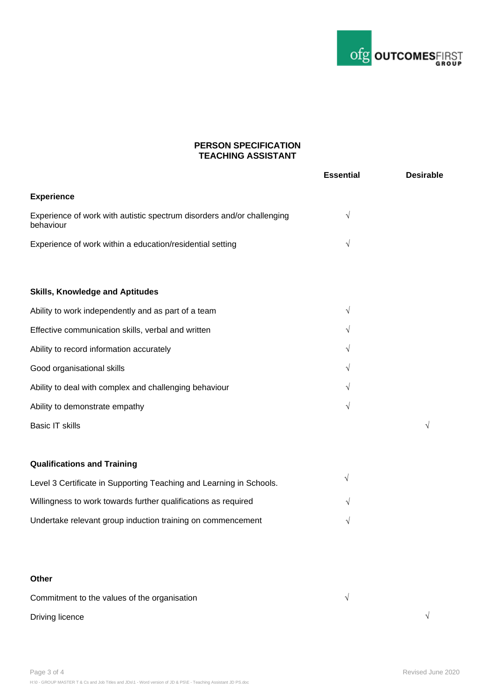

# **PERSON SPECIFICATION TEACHING ASSISTANT**

|                                                                                     | <b>Essential</b> | <b>Desirable</b> |
|-------------------------------------------------------------------------------------|------------------|------------------|
| <b>Experience</b>                                                                   |                  |                  |
| Experience of work with autistic spectrum disorders and/or challenging<br>behaviour | $\sqrt{}$        |                  |
| Experience of work within a education/residential setting                           | $\sqrt{}$        |                  |
| <b>Skills, Knowledge and Aptitudes</b>                                              |                  |                  |
| Ability to work independently and as part of a team                                 | $\sqrt{ }$       |                  |
| Effective communication skills, verbal and written                                  | $\sqrt{}$        |                  |
| Ability to record information accurately                                            | V                |                  |
| Good organisational skills                                                          | $\sqrt{}$        |                  |
| Ability to deal with complex and challenging behaviour                              | V                |                  |
| Ability to demonstrate empathy                                                      | V                |                  |
| <b>Basic IT skills</b>                                                              |                  | $\sqrt{ }$       |
| <b>Qualifications and Training</b>                                                  |                  |                  |
| Level 3 Certificate in Supporting Teaching and Learning in Schools.                 | V                |                  |
| Willingness to work towards further qualifications as required                      | V                |                  |
| Undertake relevant group induction training on commencement                         | $\sqrt{ }$       |                  |
|                                                                                     |                  |                  |
|                                                                                     |                  |                  |

# **Other**

| Commitment to the values of the organisation |  |
|----------------------------------------------|--|
| Driving licence                              |  |